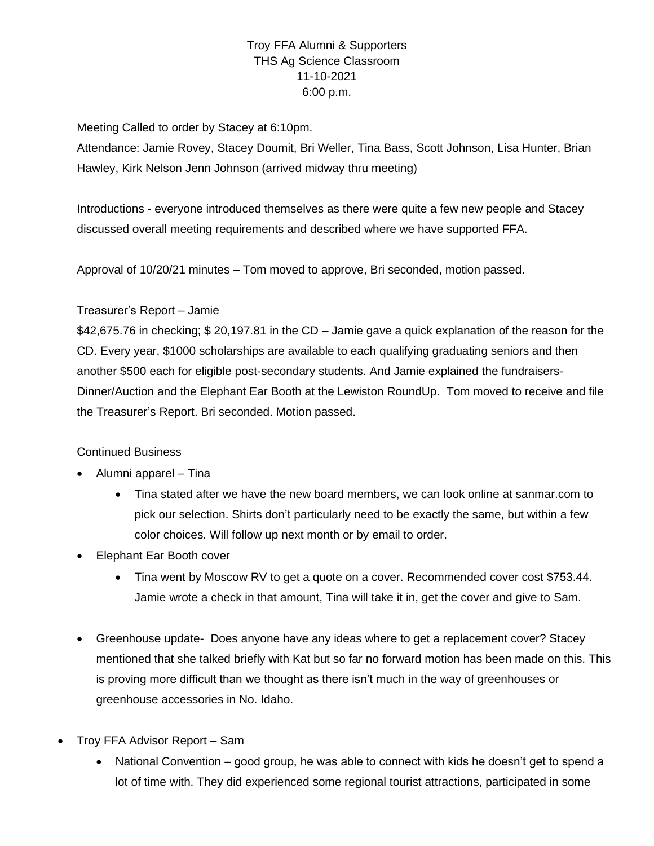# Troy FFA Alumni & Supporters THS Ag Science Classroom 11-10-2021 6:00 p.m.

Meeting Called to order by Stacey at 6:10pm.

Attendance: Jamie Rovey, Stacey Doumit, Bri Weller, Tina Bass, Scott Johnson, Lisa Hunter, Brian Hawley, Kirk Nelson Jenn Johnson (arrived midway thru meeting)

Introductions - everyone introduced themselves as there were quite a few new people and Stacey discussed overall meeting requirements and described where we have supported FFA.

Approval of 10/20/21 minutes – Tom moved to approve, Bri seconded, motion passed.

### Treasurer's Report – Jamie

\$42,675.76 in checking; \$ 20,197.81 in the CD – Jamie gave a quick explanation of the reason for the CD. Every year, \$1000 scholarships are available to each qualifying graduating seniors and then another \$500 each for eligible post-secondary students. And Jamie explained the fundraisers-Dinner/Auction and the Elephant Ear Booth at the Lewiston RoundUp. Tom moved to receive and file the Treasurer's Report. Bri seconded. Motion passed.

#### Continued Business

- Alumni apparel Tina
	- Tina stated after we have the new board members, we can look online at sanmar.com to pick our selection. Shirts don't particularly need to be exactly the same, but within a few color choices. Will follow up next month or by email to order.
- Elephant Ear Booth cover
	- Tina went by Moscow RV to get a quote on a cover. Recommended cover cost \$753.44. Jamie wrote a check in that amount, Tina will take it in, get the cover and give to Sam.
- Greenhouse update- Does anyone have any ideas where to get a replacement cover? Stacey mentioned that she talked briefly with Kat but so far no forward motion has been made on this. This is proving more difficult than we thought as there isn't much in the way of greenhouses or greenhouse accessories in No. Idaho.
- Troy FFA Advisor Report Sam
	- National Convention good group, he was able to connect with kids he doesn't get to spend a lot of time with. They did experienced some regional tourist attractions, participated in some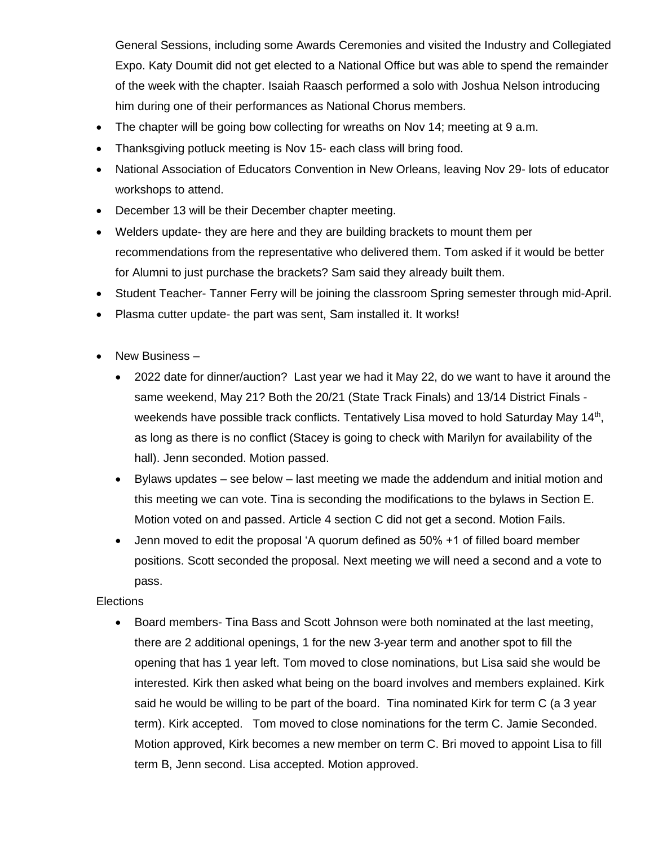General Sessions, including some Awards Ceremonies and visited the Industry and Collegiated Expo. Katy Doumit did not get elected to a National Office but was able to spend the remainder of the week with the chapter. Isaiah Raasch performed a solo with Joshua Nelson introducing him during one of their performances as National Chorus members.

- The chapter will be going bow collecting for wreaths on Nov 14; meeting at 9 a.m.
- Thanksgiving potluck meeting is Nov 15- each class will bring food.
- National Association of Educators Convention in New Orleans, leaving Nov 29- lots of educator workshops to attend.
- December 13 will be their December chapter meeting.
- Welders update- they are here and they are building brackets to mount them per recommendations from the representative who delivered them. Tom asked if it would be better for Alumni to just purchase the brackets? Sam said they already built them.
- Student Teacher- Tanner Ferry will be joining the classroom Spring semester through mid-April.
- Plasma cutter update- the part was sent, Sam installed it. It works!
- New Business
	- 2022 date for dinner/auction? Last year we had it May 22, do we want to have it around the same weekend, May 21? Both the 20/21 (State Track Finals) and 13/14 District Finals weekends have possible track conflicts. Tentatively Lisa moved to hold Saturday May 14<sup>th</sup>, as long as there is no conflict (Stacey is going to check with Marilyn for availability of the hall). Jenn seconded. Motion passed.
	- Bylaws updates see below last meeting we made the addendum and initial motion and this meeting we can vote. Tina is seconding the modifications to the bylaws in Section E. Motion voted on and passed. Article 4 section C did not get a second. Motion Fails.
	- Jenn moved to edit the proposal 'A quorum defined as 50% +1 of filled board member positions. Scott seconded the proposal. Next meeting we will need a second and a vote to pass.

## Elections

• Board members- Tina Bass and Scott Johnson were both nominated at the last meeting, there are 2 additional openings, 1 for the new 3-year term and another spot to fill the opening that has 1 year left. Tom moved to close nominations, but Lisa said she would be interested. Kirk then asked what being on the board involves and members explained. Kirk said he would be willing to be part of the board. Tina nominated Kirk for term C (a 3 year term). Kirk accepted. Tom moved to close nominations for the term C. Jamie Seconded. Motion approved, Kirk becomes a new member on term C. Bri moved to appoint Lisa to fill term B, Jenn second. Lisa accepted. Motion approved.